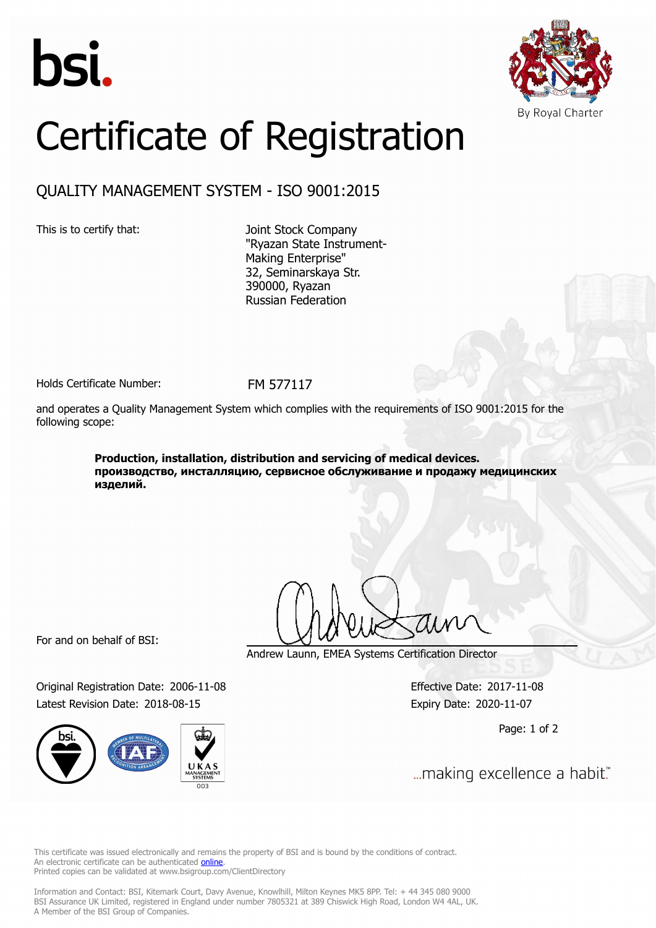



## Certificate of Registration

## QUALITY MANAGEMENT SYSTEM - ISO 9001:2015

This is to certify that: Joint Stock Company "Ryazan State Instrument-Making Enterprise" 32, Seminarskaya Str. 390000, Ryazan Russian Federation

Holds Certificate Number: FM 577117

and operates a Quality Management System which complies with the requirements of ISO 9001:2015 for the following scope:

> **Production, installation, distribution and servicing of medical devices. производство, инсталляцию, сервисное обслуживание и продажу медицинских изделий.**

For and on behalf of BSI:

Original Registration Date: 2006-11-08 Effective Date: 2017-11-08 Latest Revision Date: 2018-08-15 Expiry Date: 2020-11-07



Andrew Launn, EMEA Systems Certification Director

Page: 1 of 2

... making excellence a habit."

This certificate was issued electronically and remains the property of BSI and is bound by the conditions of contract. An electronic certificate can be authenticated **[online](https://pgplus.bsigroup.com/CertificateValidation/CertificateValidator.aspx?CertificateNumber=FM+577117&ReIssueDate=15%2f08%2f2018&Template=uk)**. Printed copies can be validated at www.bsigroup.com/ClientDirectory

Information and Contact: BSI, Kitemark Court, Davy Avenue, Knowlhill, Milton Keynes MK5 8PP. Tel: + 44 345 080 9000 BSI Assurance UK Limited, registered in England under number 7805321 at 389 Chiswick High Road, London W4 4AL, UK. A Member of the BSI Group of Companies.